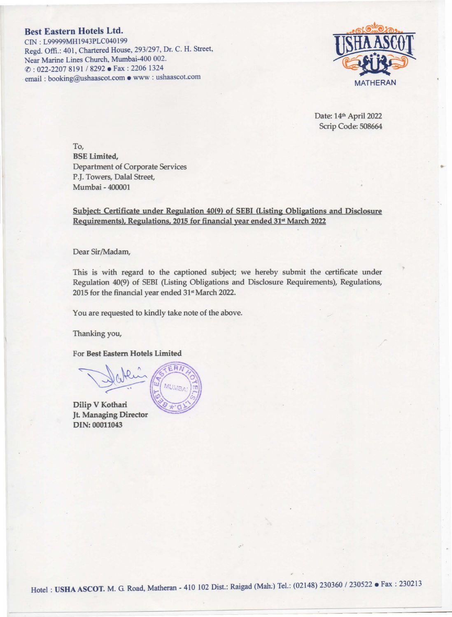## Best Eastern Hotels Ltd.

CIN: L99999MH1943PLC040199 Regd. Offi.: 401, Chartered House, 293/297, Dr. C. H. Street, Near Marine Lines Church, Mumbai-400 002. (f): 022-2207 8191 I 8292 • Fax : 2206 1324 . email : booking@ushaascot.com • www : ushaascot..com



Date: 14<sup>th</sup> April 2022 Scrip Code: 508664

To, BSE Limited, Department of Corporate Services P.J. Towers, Dalal Street, Mumbai - 400001

Subject: Certificate under Regulation 40(9) of SEBI (Listing Obligations and Disclosure Requirements), Regulations, 2015 for financial year ended 31<sup>st</sup> March 2022

Dear Sir/Madam,

This is with regard to the captioned subject; we hereby submit the certificate under Regulation 40(9) of SEBI (Listing Obligations and Disclosure Requirements), Regulations, 2015 for the financial year ended  $31<sup>st</sup>$  March 2022.

You are requested to kindly take note of the above.

Thanking you,

For Best Eastern Hotels Limited

Dilip V Kothari **Jt. Managing Director** DIN: 00011043